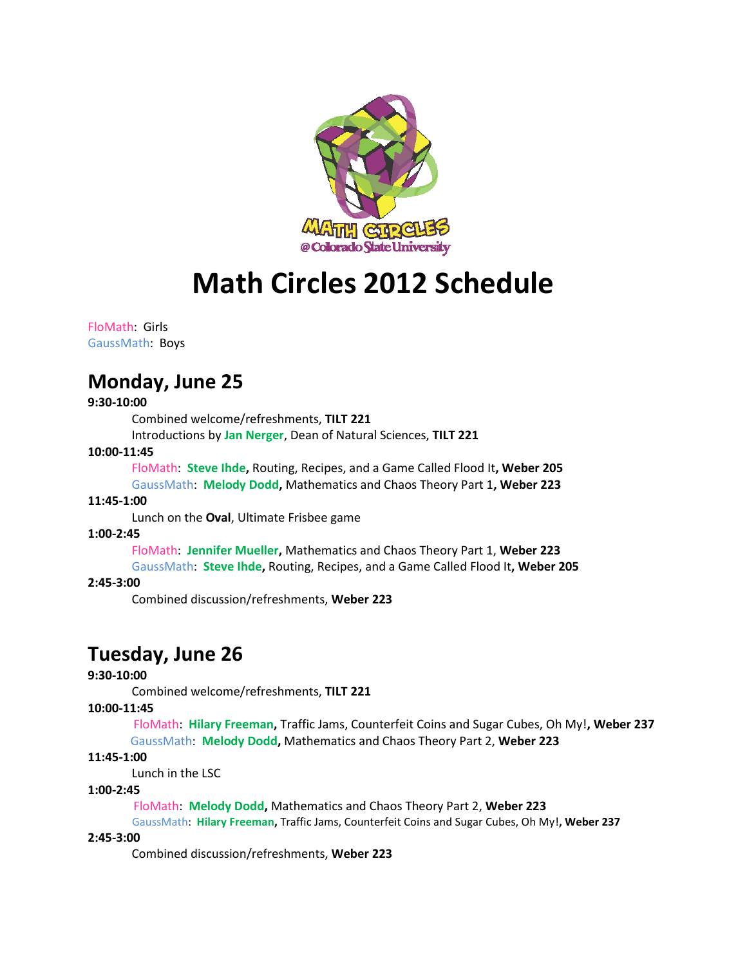

# **Math Circles 2012 Schedule**

#### FloMath: Girls GaussMath: Boys

# **Monday, June 25**

# **9:30-10:00**

Combined welcome/refreshments, **TILT 221** 

Introductions by **Jan Nerger**, Dean of Natural Sciences, **TILT 221** 

# **10:00-11:45**

FloMath: **Steve Ihde,** Routing, Recipes, and a Game Called Flood It**, Weber 205** GaussMath: **Melody Dodd,** Mathematics and Chaos Theory Part 1**, Weber 223**

# **11:45-1:00**

Lunch on the **Oval**, Ultimate Frisbee game

# **1:00-2:45**

FloMath: **Jennifer Mueller,** Mathematics and Chaos Theory Part 1, **Weber 223**

GaussMath: **Steve Ihde,** Routing, Recipes, and a Game Called Flood It**, Weber 205**

# **2:45-3:00**

Combined discussion/refreshments, **Weber 223**

# **Tuesday, June 26**

# **9:30-10:00**

Combined welcome/refreshments, **TILT 221** 

# **10:00-11:45**

 FloMath: **Hilary Freeman,** Traffic Jams, Counterfeit Coins and Sugar Cubes, Oh My!**, Weber 237** GaussMath: **Melody Dodd,** Mathematics and Chaos Theory Part 2, **Weber 223**

# **11:45-1:00**

Lunch in the LSC

#### **1:00-2:45**

FloMath: **Melody Dodd,** Mathematics and Chaos Theory Part 2, **Weber 223**

 GaussMath: **Hilary Freeman,** Traffic Jams, Counterfeit Coins and Sugar Cubes, Oh My!**, Weber 237 2:45-3:00** 

Combined discussion/refreshments, **Weber 223**